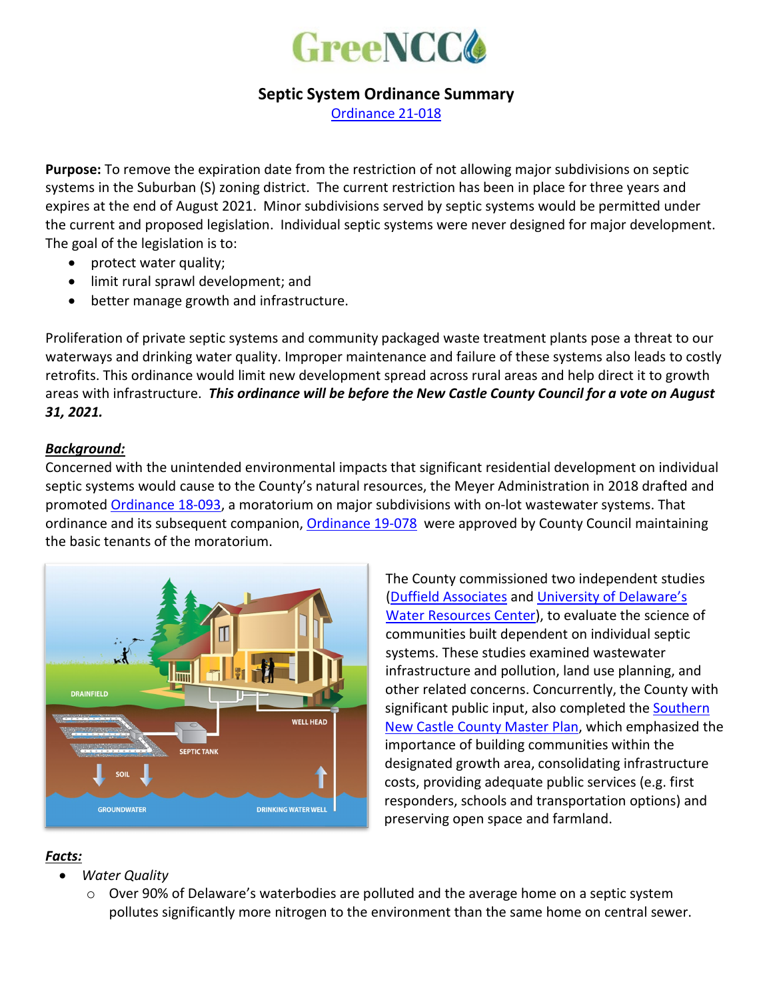

## **Septic System Ordinance Summary**

[Ordinance 21-018](https://www.nccde.org/DocumentCenter/View/41688/21-018)

**Purpose:** To remove the expiration date from the restriction of not allowing major subdivisions on septic systems in the Suburban (S) zoning district. The current restriction has been in place for three years and expires at the end of August 2021. Minor subdivisions served by septic systems would be permitted under the current and proposed legislation. Individual septic systems were never designed for major development. The goal of the legislation is to:

- protect water quality;
- limit rural sprawl development; and
- better manage growth and infrastructure.

Proliferation of private septic systems and community packaged waste treatment plants pose a threat to our waterways and drinking water quality. Improper maintenance and failure of these systems also leads to costly retrofits. This ordinance would limit new development spread across rural areas and help direct it to growth areas with infrastructure. *This ordinance will be before the New Castle County Council for a vote on August 31, 2021.*

## *Background:*

Concerned with the unintended environmental impacts that significant residential development on individual septic systems would cause to the County's natural resources, the Meyer Administration in 2018 drafted and promoted [Ordinance 18-093,](https://www3.newcastlede.gov/PDFDocument/default.aspx?DocumentID=80:FC40FF5826FBF7107D10260598B6C0724428DD1196872F86735C7182B4706D858FB9AC243FDE75E4F9C61FA92041BB06&x=temp.pdf) a moratorium on major subdivisions with on-lot wastewater systems. That ordinance and its subsequent companion, [Ordinance 19-078](https://www3.newcastlede.gov/PDFDocument/default.aspx?DocumentID=80:FC40FF5826FBF7107D10260598B6C0724428DD1196872F86735C7182B4706D857970D27098773D4499CD4451AE460485&x=temp.pdf) were approved by County Council maintaining the basic tenants of the moratorium.



The County commissioned two independent studies [\(Duffield Associates](https://www.nccde.org/DocumentCenter/View/35530/12024EA1119-Final-NCC-On-Site-Septic-SystemRPT-REV-3?bidId=) and [University of Delaware's](https://www.nccde.org/DocumentCenter/View/35024/Southern-New-Castle-County-Wastewater-Plan-White-Paper-rev-Sep-27-2019?bidId=)  [Water Resources Center\)](https://www.nccde.org/DocumentCenter/View/35024/Southern-New-Castle-County-Wastewater-Plan-White-Paper-rev-Sep-27-2019?bidId=), to evaluate the science of communities built dependent on individual septic systems. These studies examined wastewater infrastructure and pollution, land use planning, and other related concerns. Concurrently, the County with significant public input, also completed the **Southern** [New Castle County Master Plan,](https://www.nccde.org/DocumentCenter/View/40961/SNCC-Master-Plan_Final-Draft_V921821?bidId=) which emphasized the importance of building communities within the designated growth area, consolidating infrastructure costs, providing adequate public services (e.g. first responders, schools and transportation options) and preserving open space and farmland.

## *Facts:*

- *Water Quality* 
	- $\circ$  Over 90% of Delaware's waterbodies are polluted and the average home on a septic system pollutes significantly more nitrogen to the environment than the same home on central sewer.